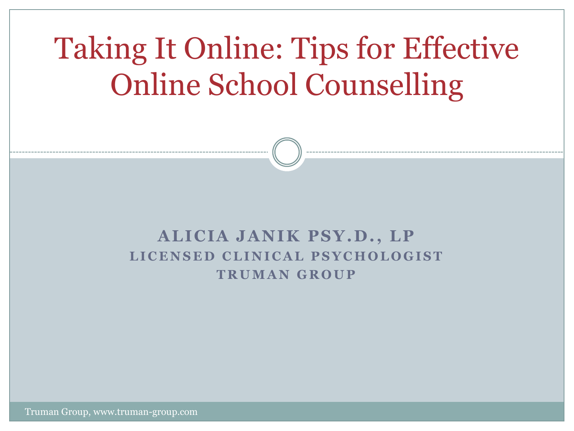# Taking It Online: Tips for Effective Online School Counselling

#### **A LICIA JA NIK PSY.D., LP** LICENSED CLINICAL PSYCHOLOGIST **T R U M A N G R O U P**

Truman Group, www.truman-group.com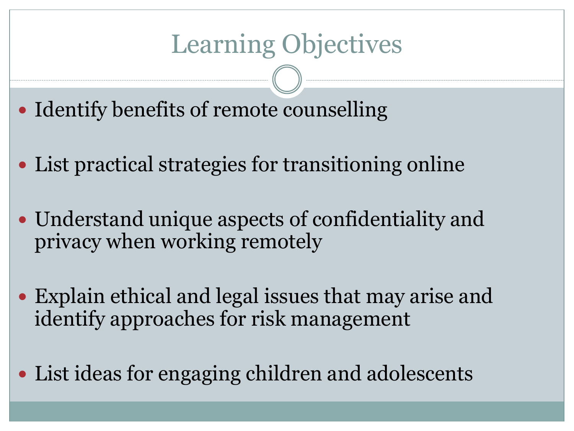# Learning Objectives

- Identify benefits of remote counselling
- List practical strategies for transitioning online
- Understand unique aspects of confidentiality and privacy when working remotely
- Explain ethical and legal issues that may arise and identify approaches for risk management
- List ideas for engaging children and adolescents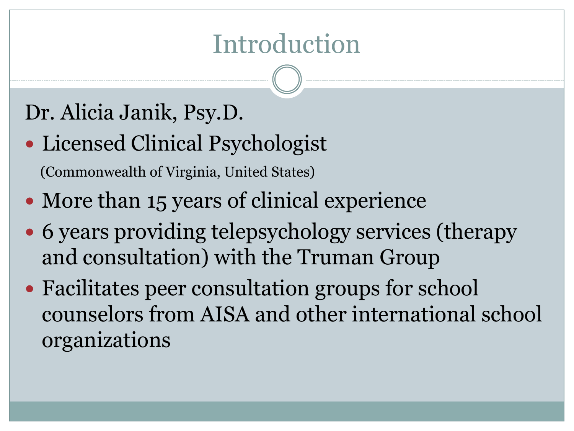### Introduction

### Dr. Alicia Janik, Psy.D.

- Licensed Clinical Psychologist (Commonwealth of Virginia, United States)
- More than 15 years of clinical experience
- 6 years providing telepsychology services (therapy and consultation) with the Truman Group
- Facilitates peer consultation groups for school counselors from AISA and other international school organizations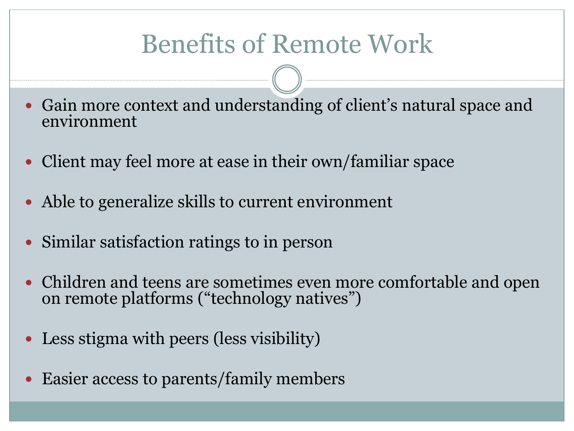## Benefits of Remote Work

- Gain more context and understanding of client's natural space and environment
- Client may feel more at ease in their own/familiar space
- Able to generalize skills to current environment
- Similar satisfaction ratings to in person
- Children and teens are sometimes even more comfortable and open on remote platforms ("technology natives")
- Less stigma with peers (less visibility)
- Easier access to parents/family members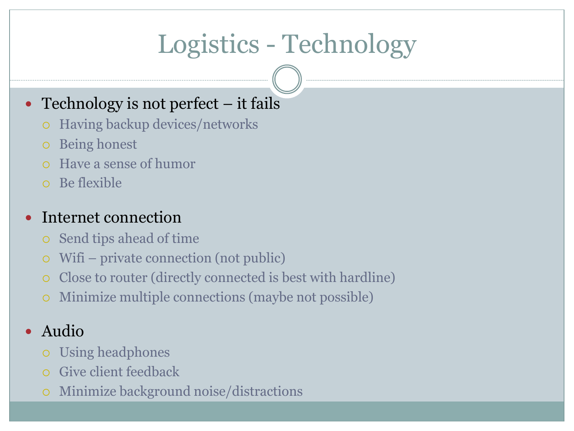# Logistics - Technology

#### • Technology is not perfect – it fails

- Having backup devices/networks
- Being honest
- Have a sense of humor
- Be flexible

#### Internet connection

- Send tips ahead of time
- Wifi private connection (not public)
- Close to router (directly connected is best with hardline)
- Minimize multiple connections (maybe not possible)

#### • Audio

- Using headphones
- Give client feedback
- Minimize background noise/distractions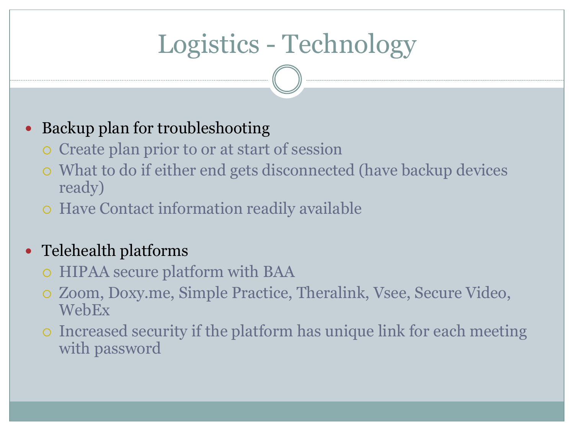# Logistics - Technology

#### Backup plan for troubleshooting

- Create plan prior to or at start of session
- What to do if either end gets disconnected (have backup devices ready)
- Have Contact information readily available

#### • Telehealth platforms

- HIPAA secure platform with BAA
- Zoom, Doxy.me, Simple Practice, Theralink, Vsee, Secure Video, WebEx
- Increased security if the platform has unique link for each meeting with password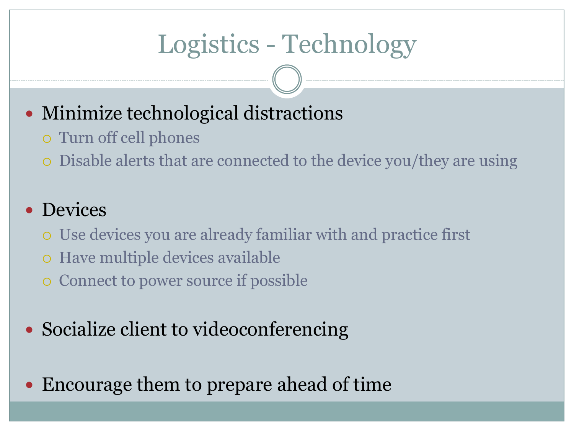# Logistics - Technology

### • Minimize technological distractions

- Turn off cell phones
- Disable alerts that are connected to the device you/they are using

#### • Devices

- Use devices you are already familiar with and practice first
- Have multiple devices available
- Connect to power source if possible
- Socialize client to videoconferencing
- Encourage them to prepare ahead of time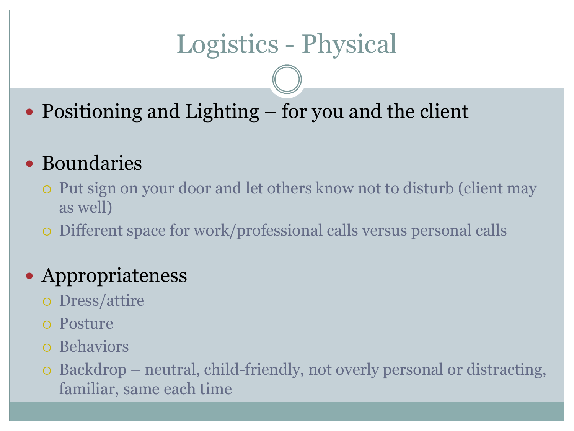# Logistics - Physical

• Positioning and Lighting – for you and the client

### Boundaries

- Put sign on your door and let others know not to disturb (client may as well)
- Different space for work/professional calls versus personal calls

#### Appropriateness

- Dress/attire
- Posture
- Behaviors
- Backdrop neutral, child-friendly, not overly personal or distracting, familiar, same each time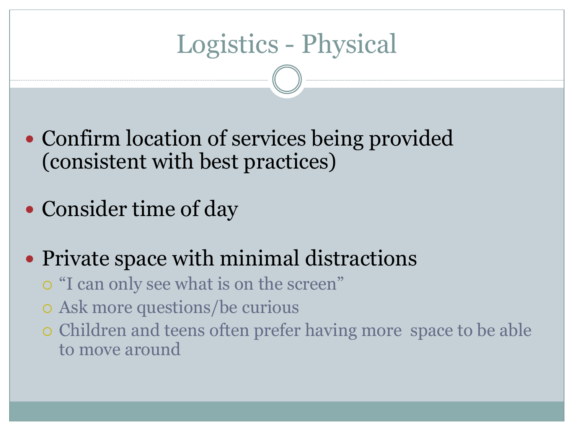## Logistics - Physical

• Confirm location of services being provided (consistent with best practices)

• Consider time of day

Private space with minimal distractions

"I can only see what is on the screen"

Ask more questions/be curious

 Children and teens often prefer having more space to be able to move around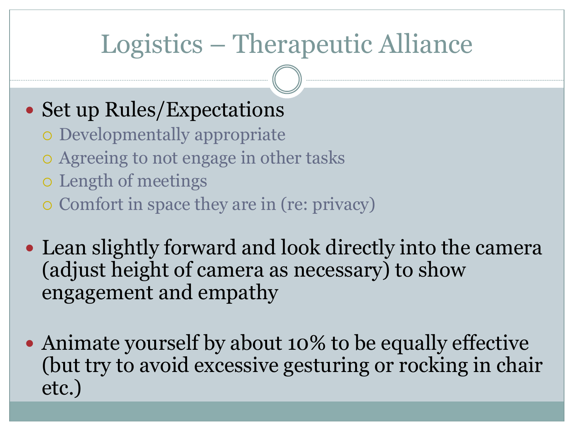## Logistics – Therapeutic Alliance

#### • Set up Rules/Expectations

- Developmentally appropriate
- Agreeing to not engage in other tasks
- Length of meetings
- Comfort in space they are in (re: privacy)
- Lean slightly forward and look directly into the camera (adjust height of camera as necessary) to show engagement and empathy
- Animate yourself by about 10% to be equally effective (but try to avoid excessive gesturing or rocking in chair etc.)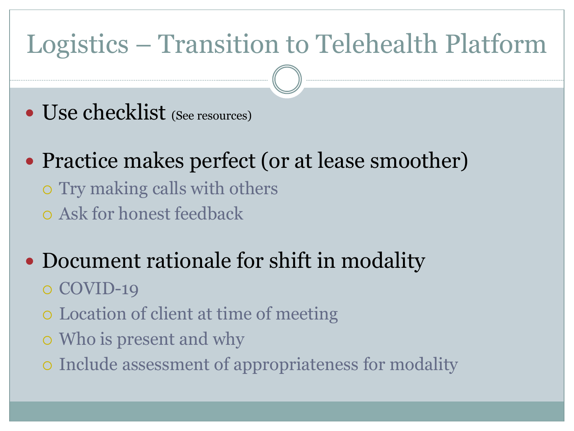# Logistics – Transition to Telehealth Platform

- Use checklist (See resources)
- Practice makes perfect (or at lease smoother)
	- Try making calls with others
	- Ask for honest feedback
- Document rationale for shift in modality
	- o COVID-19
	- Location of client at time of meeting
	- Who is present and why
	- Include assessment of appropriateness for modality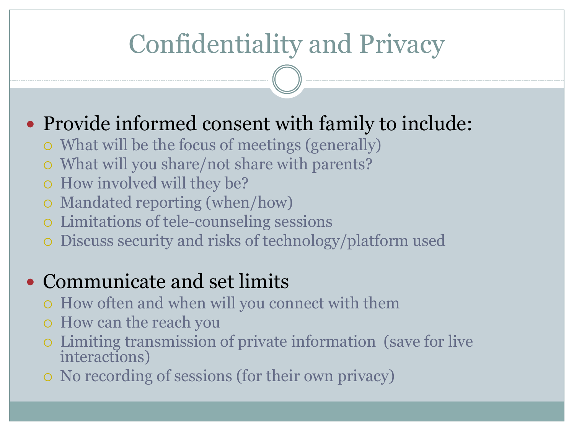# Confidentiality and Privacy

### • Provide informed consent with family to include:

- What will be the focus of meetings (generally)
- What will you share/not share with parents?
- How involved will they be?
- Mandated reporting (when/how)
- Limitations of tele-counseling sessions
- Discuss security and risks of technology/platform used

#### • Communicate and set limits

- How often and when will you connect with them
- How can the reach you
- Limiting transmission of private information (save for live interactions)
- No recording of sessions (for their own privacy)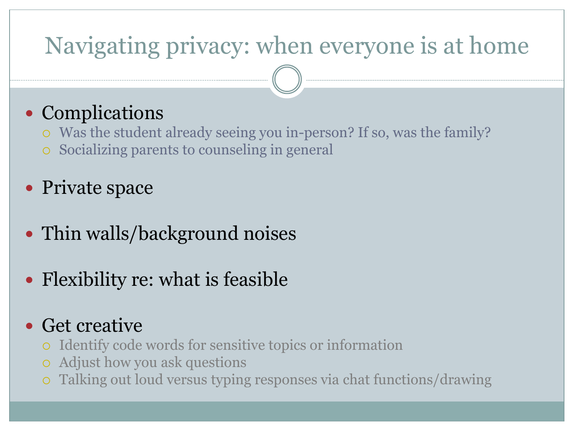### Navigating privacy: when everyone is at home

### • Complications

- Was the student already seeing you in-person? If so, was the family?
- Socializing parents to counseling in general
- Private space
- Thin walls/background noises
- Flexibility re: what is feasible

#### Get creative

- Identify code words for sensitive topics or information
- Adjust how you ask questions
- Talking out loud versus typing responses via chat functions/drawing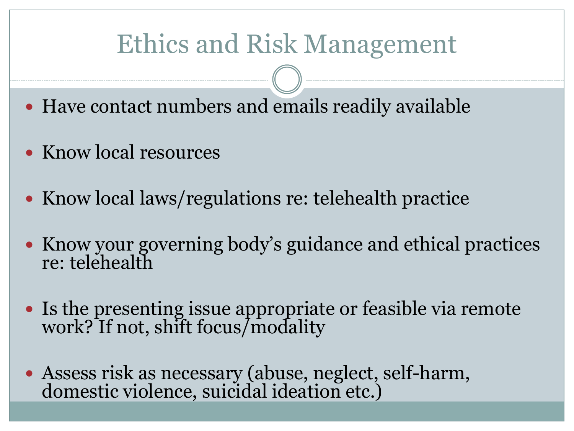# Ethics and Risk Management

- Have contact numbers and emails readily available
- Know local resources
- Know local laws/regulations re: telehealth practice
- Know your governing body's guidance and ethical practices re: telehealth
- Is the presenting issue appropriate or feasible via remote work? If not, shift focus/modality
- Assess risk as necessary (abuse, neglect, self-harm, domestic violence, suicidal ideation etc.)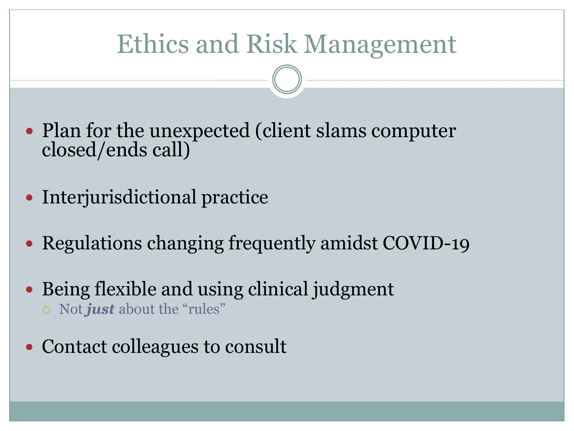# Ethics and Risk Management

- Plan for the unexpected (client slams computer closed/ends call)
- Interjurisdictional practice
- Regulations changing frequently amidst COVID-19
- Being flexible and using clinical judgment Not *just* about the "rules"
- Contact colleagues to consult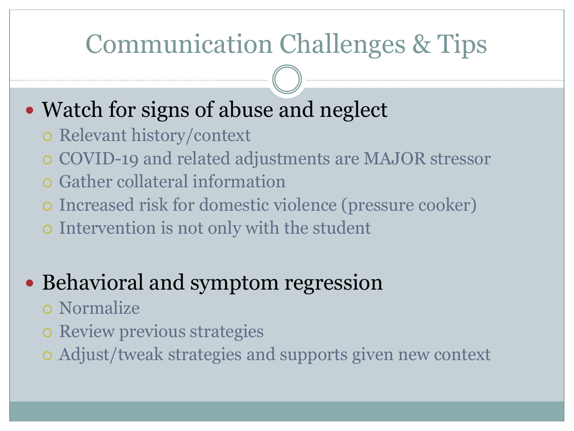## Communication Challenges & Tips

### • Watch for signs of abuse and neglect

- Relevant history/context
- COVID-19 and related adjustments are MAJOR stressor
- Gather collateral information
- Increased risk for domestic violence (pressure cooker)
- Intervention is not only with the student

### • Behavioral and symptom regression

- Normalize
- o Review previous strategies
- Adjust/tweak strategies and supports given new context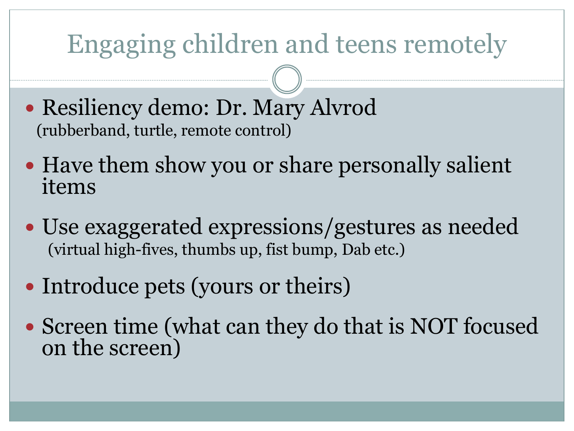## Engaging children and teens remotely

- Resiliency demo: Dr. Mary Alvrod (rubberband, turtle, remote control)
- Have them show you or share personally salient items
- Use exaggerated expressions/gestures as needed (virtual high-fives, thumbs up, fist bump, Dab etc.)
- Introduce pets (yours or theirs)
- Screen time (what can they do that is NOT focused on the screen)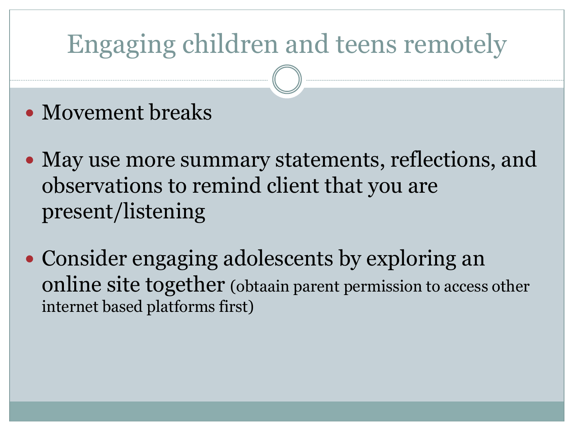# Engaging children and teens remotely

- Movement breaks
- May use more summary statements, reflections, and observations to remind client that you are present/listening
- Consider engaging adolescents by exploring an online site together (obtaain parent permission to access other internet based platforms first)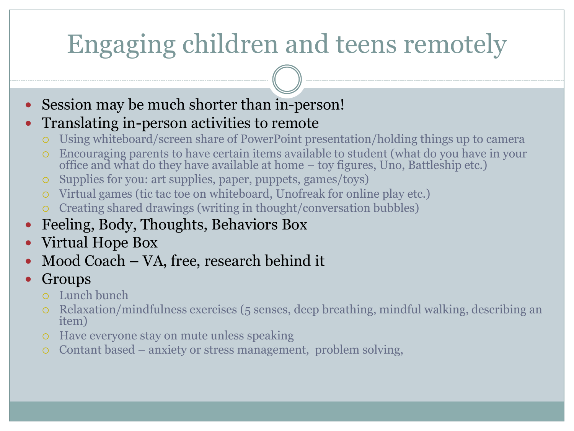# Engaging children and teens remotely

Session may be much shorter than in-person!

#### Translating in-person activities to remote

- Using whiteboard/screen share of PowerPoint presentation/holding things up to camera
- Encouraging parents to have certain items available to student (what do you have in your office and what do they have available at home – toy figures, Uno, Battleship etc.)
- o Supplies for you: art supplies, paper, puppets, games/toys)
- Virtual games (tic tac toe on whiteboard, Unofreak for online play etc.)
- Creating shared drawings (writing in thought/conversation bubbles)
- Feeling, Body, Thoughts, Behaviors Box
- Virtual Hope Box
- Mood Coach VA, free, research behind it
- Groups
	- Lunch bunch
	- Relaxation/mindfulness exercises (5 senses, deep breathing, mindful walking, describing an item)
	- Have everyone stay on mute unless speaking
	- Contant based anxiety or stress management, problem solving,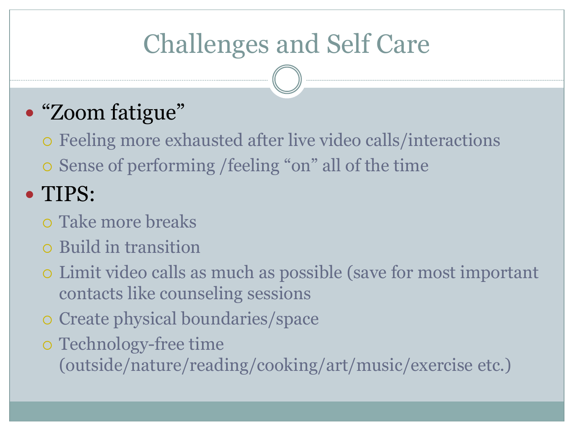# Challenges and Self Care

### • "Zoom fatigue"

 Feeling more exhausted after live video calls/interactions Sense of performing /feeling "on" all of the time

### TIPS:

- Take more breaks
- Build in transition
- Limit video calls as much as possible (save for most important contacts like counseling sessions
- Create physical boundaries/space
- Technology-free time

(outside/nature/reading/cooking/art/music/exercise etc.)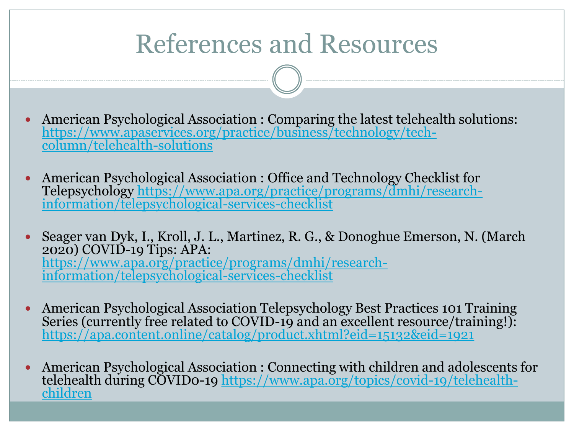### References and Resources

- American Psychological Association : Comparing the latest telehealth solutions: [https://www.apaservices.org/practice/business/technology/tech](https://www.apaservices.org/practice/business/technology/tech-column/telehealth-solutions)column/telehealth-solutions
- American Psychological Association : Office and Technology Checklist for [Telepsychology https://www.apa.org/practice/programs/dmhi/research](https://www.apa.org/practice/programs/dmhi/research-information/telepsychological-services-checklist)information/telepsychological-services-checklist
- Seager van Dyk, I., Kroll, J. L., Martinez, R. G., & Donoghue Emerson, N. (March 2020) COVID-19 Tips: APA: [https://www.apa.org/practice/programs/dmhi/research](https://www.apa.org/practice/programs/dmhi/research-information/telepsychological-services-checklist)information/telepsychological-services-checklist
- American Psychological Association Telepsychology Best Practices 101 Training Series (currently free related to COVID-19 and an excellent resource/training!): <https://apa.content.online/catalog/product.xhtml?eid=15132&eid=1921>
- American Psychological Association : Connecting with children and adolescents for telehealth during COVIDo-19 https://www.apa.org/topics/covid-19/telehealthchildren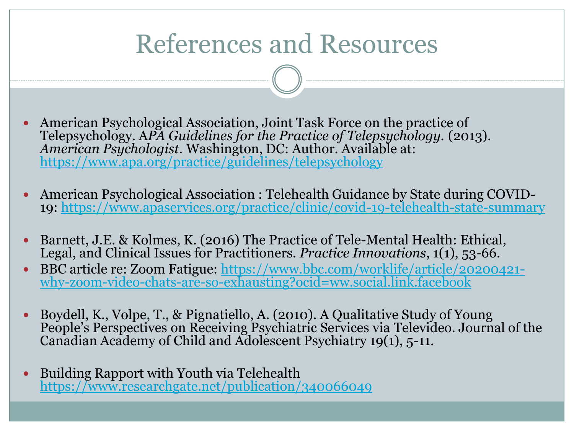### References and Resources

- American Psychological Association, Joint Task Force on the practice of Telepsychology. A*PA Guidelines for the Practice of Telepsychology.* (2013). *American Psychologist*. Washington, DC: Author. Available at: <https://www.apa.org/practice/guidelines/telepsychology>
- American Psychological Association : Telehealth Guidance by State during COVID-19: <https://www.apaservices.org/practice/clinic/covid-19-telehealth-state-summary>
- Barnett, J.E. & Kolmes, K. (2016) The Practice of Tele-Mental Health: Ethical, Legal, and Clinical Issues for Practitioners. *Practice Innovations*, 1(1), 53-66.
- [BBC article re: Zoom Fatigue: https://www.bbc.com/worklife/article/20200421](https://www.bbc.com/worklife/article/20200421-why-zoom-video-chats-are-so-exhausting?ocid=ww.social.link.facebook) why-zoom-video-chats-are-so-exhausting?ocid=ww.social.link.facebook
- Boydell, K., Volpe, T., & Pignatiello, A. (2010). A Qualitative Study of Young People's Perspectives on Receiving Psychiatric Services via Televideo. Journal of the Canadian Academy of Child and Adolescent Psychiatry 19(1), 5-11.
- Building Rapport with Youth via Telehealth <https://www.researchgate.net/publication/340066049>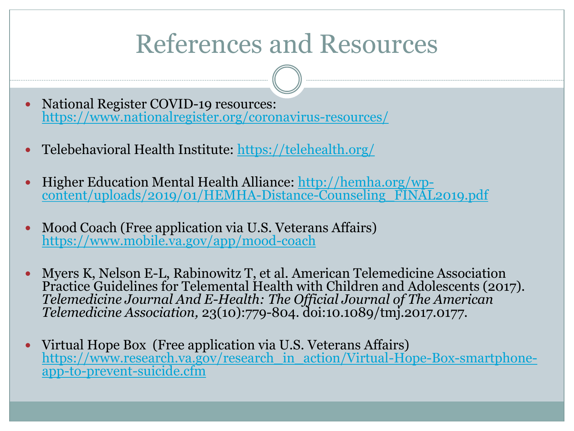### References and Resources

- National Register COVID-19 resources: <https://www.nationalregister.org/coronavirus-resources/>
- Telebehavioral Health Institute: <https://telehealth.org/>
- Higher Education Mental Health Alliance: http://hemha.org/wp[content/uploads/2019/01/HEMHA-Distance-Counseling\\_FINAL2019.pdf](http://hemha.org/wp-content/uploads/2019/01/HEMHA-Distance-Counseling_FINAL2019.pdf)
- Mood Coach (Free application via U.S. Veterans Affairs) <https://www.mobile.va.gov/app/mood-coach>
- Myers K, Nelson E-L, Rabinowitz T, et al. American Telemedicine Association Practice Guidelines for Telemental Health with Children and Adolescents (2017). *Telemedicine Journal And E-Health: The Official Journal of The American Telemedicine Association,* 23(10):779-804. doi:10.1089/tmj.2017.0177.
- Virtual Hope Box (Free application via U.S. Veterans Affairs) [https://www.research.va.gov/research\\_in\\_action/Virtual-Hope-Box-smartphone](https://www.research.va.gov/research_in_action/Virtual-Hope-Box-smartphone-app-to-prevent-suicide.cfm)app-to-prevent-suicide.cfm